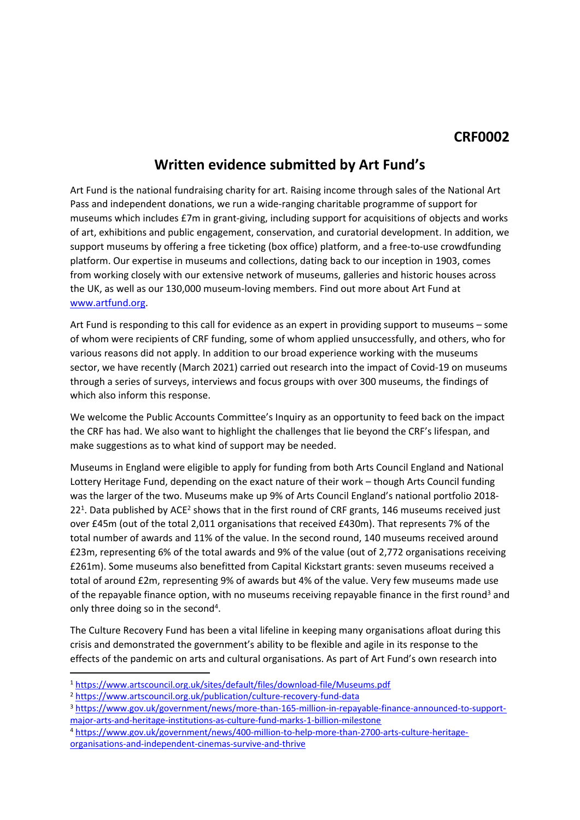## **Written evidence submitted by Art Fund's**

Art Fund is the national fundraising charity for art. Raising income through sales of the National Art Pass and independent donations, we run a wide-ranging charitable programme of support for museums which includes £7m in grant-giving, including support for acquisitions of objects and works of art, exhibitions and public engagement, conservation, and curatorial development. In addition, we support museums by offering a free ticketing (box office) platform, and a free-to-use crowdfunding platform. Our expertise in museums and collections, dating back to our inception in 1903, comes from working closely with our extensive network of museums, galleries and historic houses across the UK, as well as our 130,000 museum-loving members. Find out more about Art Fund at [www.artfund.org](http://www.artfund.org/).

Art Fund is responding to this call for evidence as an expert in providing support to museums – some of whom were recipients of CRF funding, some of whom applied unsuccessfully, and others, who for various reasons did not apply. In addition to our broad experience working with the museums sector, we have recently (March 2021) carried out research into the impact of Covid-19 on museums through a series of surveys, interviews and focus groups with over 300 museums, the findings of which also inform this response.

We welcome the Public Accounts Committee's Inquiry as an opportunity to feed back on the impact the CRF has had. We also want to highlight the challenges that lie beyond the CRF's lifespan, and make suggestions as to what kind of support may be needed.

Museums in England were eligible to apply for funding from both Arts Council England and National Lottery Heritage Fund, depending on the exact nature of their work – though Arts Council funding was the larger of the two. Museums make up 9% of Arts Council England's national portfolio 2018- 22<sup>1</sup>. Data published by ACE<sup>2</sup> shows that in the first round of CRF grants, 146 museums received just over £45m (out of the total 2,011 organisations that received £430m). That represents 7% of the total number of awards and 11% of the value. In the second round, 140 museums received around £23m, representing 6% of the total awards and 9% of the value (out of 2,772 organisations receiving £261m). Some museums also benefitted from Capital Kickstart grants: seven museums received a total of around £2m, representing 9% of awards but 4% of the value. Very few museums made use of the repayable finance option, with no museums receiving repayable finance in the first round<sup>3</sup> and only three doing so in the second<sup>4</sup>.

The Culture Recovery Fund has been a vital lifeline in keeping many organisations afloat during this crisis and demonstrated the government's ability to be flexible and agile in its response to the effects of the pandemic on arts and cultural organisations. As part of Art Fund's own research into

<sup>1</sup> <https://www.artscouncil.org.uk/sites/default/files/download-file/Museums.pdf>

<sup>2</sup> <https://www.artscouncil.org.uk/publication/culture-recovery-fund-data>

<sup>3</sup> [https://www.gov.uk/government/news/more-than-165-million-in-repayable-finance-announced-to-support](https://www.gov.uk/government/news/more-than-165-million-in-repayable-finance-announced-to-support-major-arts-and-heritage-institutions-as-culture-fund-marks-1-billion-milestone)[major-arts-and-heritage-institutions-as-culture-fund-marks-1-billion-milestone](https://www.gov.uk/government/news/more-than-165-million-in-repayable-finance-announced-to-support-major-arts-and-heritage-institutions-as-culture-fund-marks-1-billion-milestone)

<sup>4</sup> [https://www.gov.uk/government/news/400-million-to-help-more-than-2700-arts-culture-heritage](https://www.gov.uk/government/news/400-million-to-help-more-than-2700-arts-culture-heritage-organisations-and-independent-cinemas-survive-and-thrive)[organisations-and-independent-cinemas-survive-and-thrive](https://www.gov.uk/government/news/400-million-to-help-more-than-2700-arts-culture-heritage-organisations-and-independent-cinemas-survive-and-thrive)